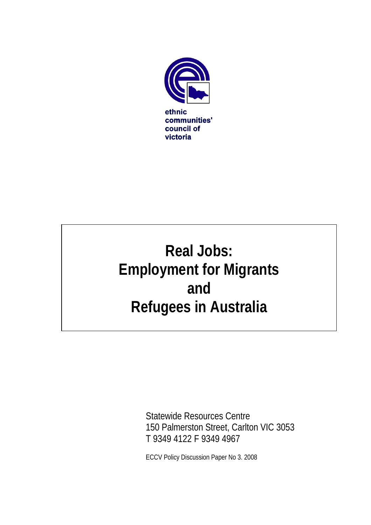

# **Real Jobs: Employment for Migrants and Refugees in Australia**

Statewide Resources Centre 150 Palmerston Street, Carlton VIC 3053 T 9349 4122 F 9349 4967

ECCV Policy Discussion Paper No 3. 2008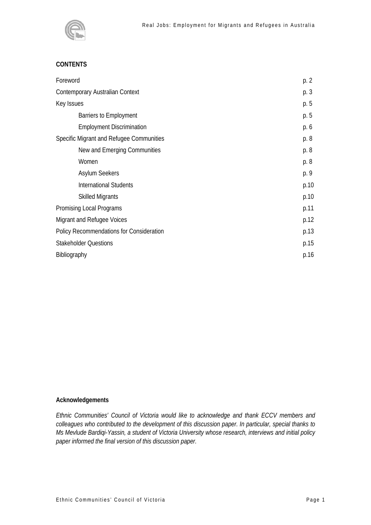

# **CONTENTS**

| Foreword                                 | p. 2 |
|------------------------------------------|------|
| Contemporary Australian Context          | p. 3 |
| Key Issues                               | p. 5 |
| Barriers to Employment                   | p. 5 |
| <b>Employment Discrimination</b>         | p. 6 |
| Specific Migrant and Refugee Communities | p. 8 |
| New and Emerging Communities             | p. 8 |
| Women                                    | p. 8 |
| <b>Asylum Seekers</b>                    | p. 9 |
| <b>International Students</b>            | p.10 |
| <b>Skilled Migrants</b>                  | p.10 |
| Promising Local Programs                 | p.11 |
| Migrant and Refugee Voices               | p.12 |
| Policy Recommendations for Consideration | p.13 |
| <b>Stakeholder Questions</b>             | p.15 |
| Bibliography                             | p.16 |

## **Acknowledgements**

*Ethnic Communities' Council of Victoria would like to acknowledge and thank ECCV members and colleagues who contributed to the development of this discussion paper. In particular, special thanks to Ms Mevlude Bardiqi-Yassin, a student of Victoria University whose research, interviews and initial policy paper informed the final version of this discussion paper.*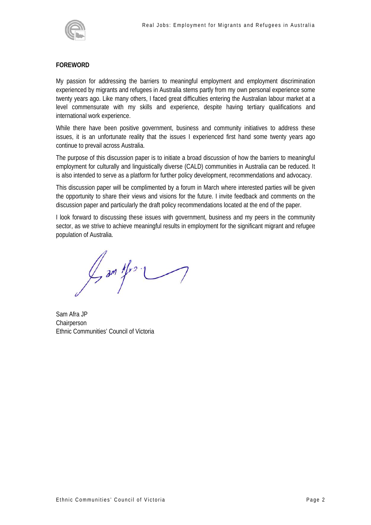

# **FOREWORD**

My passion for addressing the barriers to meaningful employment and employment discrimination experienced by migrants and refugees in Australia stems partly from my own personal experience some twenty years ago. Like many others, I faced great difficulties entering the Australian labour market at a level commensurate with my skills and experience, despite having tertiary qualifications and international work experience.

While there have been positive government, business and community initiatives to address these issues, it is an unfortunate reality that the issues I experienced first hand some twenty years ago continue to prevail across Australia.

The purpose of this discussion paper is to initiate a broad discussion of how the barriers to meaningful employment for culturally and linguistically diverse (CALD) communities in Australia can be reduced. It is also intended to serve as a platform for further policy development, recommendations and advocacy.

This discussion paper will be complimented by a forum in March where interested parties will be given the opportunity to share their views and visions for the future. I invite feedback and comments on the discussion paper and particularly the draft policy recommendations located at the end of the paper.

I look forward to discussing these issues with government, business and my peers in the community sector, as we strive to achieve meaningful results in employment for the significant migrant and refugee population of Australia.

 $\frac{1}{2}$  am  $t$   $\frac{1}{2}$ 

Sam Afra JP Chairperson Ethnic Communities' Council of Victoria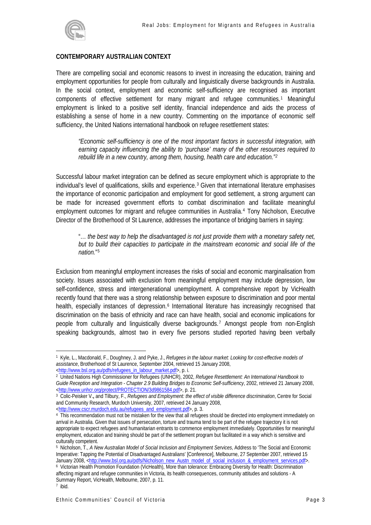

#### **CONTEMPORARY AUSTRALIAN CONTEXT**

There are compelling social and economic reasons to invest in increasing the education, training and employment opportunities for people from culturally and linguistically diverse backgrounds in Australia. In the social context, employment and economic self-sufficiency are recognised as important components of effective settlement for many migrant and refugee communities.[1](#page-3-0) Meaningful employment is linked to a positive self identity, financial independence and aids the process of establishing a sense of home in a new country. Commenting on the importance of economic self sufficiency, the United Nations international handbook on refugee resettlement states:

*"Economic self-sufficiency is one of the most important factors in successful integration, with earning capacity influencing the ability to 'purchase' many of the other resources required to rebuild life in a new country, among them, housing, health care and education."[2](#page-3-1)* 

Successful labour market integration can be defined as secure employment which is appropriate to the individual's level of qualifications, skills and experience.<sup>[3](#page-3-2)</sup> Given that international literature emphasises the importance of economic participation and employment for good settlement, a strong argument can be made for increased government efforts to combat discrimination and facilitate meaningful employment outcomes for migrant and refugee communities in Australia.[4](#page-3-3) Tony Nicholson, Executive Director of the Brotherhood of St Laurence, addresses the importance of bridging barriers in saying:

"… *the best way to help the disadvantaged is not just provide them with a monetary safety net, but to build their capacities to participate in the mainstream economic and social life of the nation.*"[5](#page-3-4)

Exclusion from meaningful employment increases the risks of social and economic marginalisation from society. Issues associated with exclusion from meaningful employment may include depression, low self-confidence, stress and intergenerational unemployment. A comprehensive report by VicHealth recently found that there was a strong relationship between exposure to discrimination and poor mental health, especially instances of depression.<sup>[6](#page-3-5)</sup> International literature has increasingly recognised that discrimination on the basis of ethnicity and race can have health, social and economic implications for people from culturally and linguistically diverse backgrounds.[7](#page-3-6) Amongst people from non-English speaking backgrounds, almost two in every five persons studied reported having been verbally

<span id="page-3-0"></span><sup>1</sup> Kyle, L., Macdonald, F., Doughney, J. and Pyke, J., *Refugees in the labour market: Looking for cost-effective models of assistance*, Brotherhood of St Laurence, September 2004, retrieved 15 January 2008,

<span id="page-3-1"></span>[<sup>&</sup>lt;http://www.bsl.org.au/pdfs/refugees\\_in\\_labour\\_market.pdf](http://www.bsl.org.au/pdfs/refugees_in_labour_market.pdf)>, p. i. 2 United Nations High Commissioner for Refugees (UNHCR), 2002, *[Refugee Resettlement: An International Handbook to](http://www.unhcr.org/protect/PROTECTION/3d9861584.pdf)  [Guide Reception and Integration - Chapter 2.9 Building Bridges to Economic Self-sufficiency](http://www.unhcr.org/protect/PROTECTION/3d9861584.pdf)*, 2002, retrieved 21 January 2008,

<span id="page-3-2"></span><sup>&</sup>lt;sup>3</sup> Colic-Peisker V., and Tilbury, F., *Refugees and Employment: the effect of visible difference discrimination*, Centre for Social and Community Research, Murdoch University, 2007, retrieved 24 January 2008,

<span id="page-3-3"></span>[<sup>&</sup>lt;http://www.cscr.murdoch.edu.au/refugees\\_and\\_employment.pdf](http://www.cscr.murdoch.edu.au/refugees_and_employment.pdf)>, p. 3.<br>4 This recommendation must not be mistaken for the view that all refugees should be directed into employment immediately on arrival in Australia. Given that issues of persecution, torture and trauma tend to be part of the refugee trajectory it is not appropriate to expect refugees and humanitarian entrants to commence employment immediately. Opportunities for meaningful employment, education and training should be part of the settlement program but facilitated in a way which is sensitive and culturally competent.

<span id="page-3-4"></span><sup>5</sup> Nicholson, T., *A New Australian Model of Social Inclusion and Employment Services*, Address to 'The Social and Economic Imperative: Tapping the Potential of Disadvantaged Australians' [Conference], Melbourne, 27 September 2007, retrieved 15<br>January 2008, <http://www.bsl.org.au/pdfs/Nicholson\_new\_Austn\_model\_of\_social\_inclusion\_&\_employment\_ <sup>6</sup> Victorian Health Promotion Foundation (VicHealth), More than tolerance: Embracing Diversity for Health: Discrimination affecting migrant and refugee communities in Victoria, its health consequences, community attitudes and solutions - A Summary Report, VicHealth, Melbourne, 2007, p. 11.

<span id="page-3-6"></span><span id="page-3-5"></span><sup>7</sup> ibid.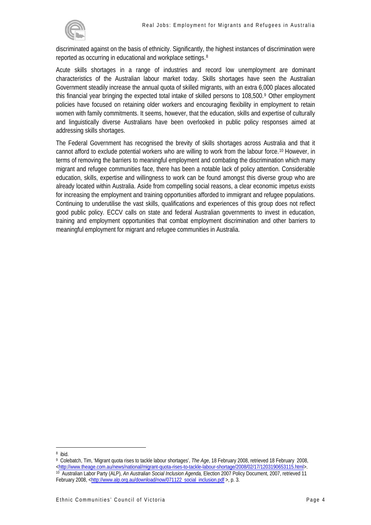

discriminated against on the basis of ethnicity. Significantly, the highest instances of discrimination were reported as occurring in educational and workplace settings.[8](#page-4-0)

Acute skills shortages in a range of industries and record low unemployment are dominant characteristics of the Australian labour market today. Skills shortages have seen the Australian Government steadily increase the annual quota of skilled migrants, with an extra 6,000 places allocated this financial year bringing the expected total intake of skilled persons to 108,500.[9](#page-4-1) Other employment policies have focused on retaining older workers and encouraging flexibility in employment to retain women with family commitments. It seems, however, that the education, skills and expertise of culturally and linguistically diverse Australians have been overlooked in public policy responses aimed at addressing skills shortages.

The Federal Government has recognised the brevity of skills shortages across Australia and that it cannot afford to exclude potential workers who are willing to work from the labour force.[10](#page-4-2) However, in terms of removing the barriers to meaningful employment and combating the discrimination which many migrant and refugee communities face, there has been a notable lack of policy attention. Considerable education, skills, expertise and willingness to work can be found amongst this diverse group who are already located within Australia. Aside from compelling social reasons, a clear economic impetus exists for increasing the employment and training opportunities afforded to immigrant and refugee populations. Continuing to underutilise the vast skills, qualifications and experiences of this group does not reflect good public policy. ECCV calls on state and federal Australian governments to invest in education, training and employment opportunities that combat employment discrimination and other barriers to meaningful employment for migrant and refugee communities in Australia.

<span id="page-4-0"></span><sup>8</sup> ibid.

<span id="page-4-1"></span><sup>9</sup> Colebatch, Tim, 'Migrant quota rises to tackle labour shortages', *The Age*, 18 February 2008, retrieved 18 February 2008,

<sup>&</sup>lt;http://www.theage.com.au/news/national/migrant-quota-rises-to-tackle-labour-shortage/2008/02/17/1203190653115.html>.<br><sup>10</sup> Australian Labor Party (ALP), An Australian Social Inclusion Agenda, Election 2007 Policy Document,

<span id="page-4-2"></span>February 2008, [<http://www.alp.org.au/download/now/071122\\_social\\_inclusion.pdf](http://www.alp.org.au/download/now/071122_social_inclusion.pdf) >, p. 3.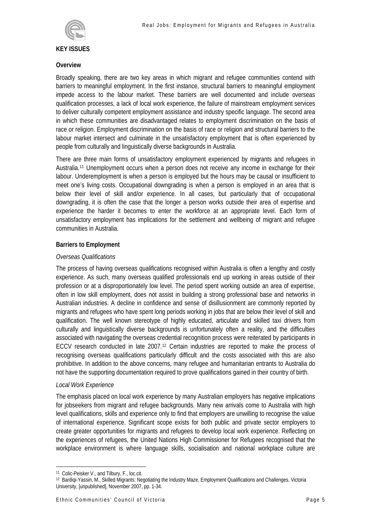

#### **KEY ISSUES**

#### **Overview**

Broadly speaking, there are two key areas in which migrant and refugee communities contend with barriers to meaningful employment. In the first instance, structural barriers to meaningful employment impede access to the labour market. These barriers are well documented and include overseas qualification processes, a lack of local work experience, the failure of mainstream employment services to deliver culturally competent employment assistance and industry specific language. The second area in which these communities are disadvantaged relates to employment discrimination on the basis of race or religion. Employment discrimination on the basis of race or religion and structural barriers to the labour market intersect and culminate in the unsatisfactory employment that is often experienced by people from culturally and linguistically diverse backgrounds in Australia.

There are three main forms of unsatisfactory employment experienced by migrants and refugees in Australia.[11](#page-5-0) Unemployment occurs when a person does not receive any income in exchange for their labour. Underemployment is when a person is employed but the hours may be causal or insufficient to meet one's living costs. Occupational downgrading is when a person is employed in an area that is below their level of skill and/or experience. In all cases, but particularly that of occupational downgrading, it is often the case that the longer a person works outside their area of expertise and experience the harder it becomes to enter the workforce at an appropriate level. Each form of unsatisfactory employment has implications for the settlement and wellbeing of migrant and refugee communities in Australia.

## **Barriers to Employment**

#### *Overseas Qualifications*

The process of having overseas qualifications recognised within Australia is often a lengthy and costly experience. As such, many overseas qualified professionals end up working in areas outside of their profession or at a disproportionately low level. The period spent working outside an area of expertise, often in low skill employment, does not assist in building a strong professional base and networks in Australian industries. A decline in confidence and sense of disillusionment are commonly reported by migrants and refugees who have spent long periods working in jobs that are below their level of skill and qualification. The well known stereotype of highly educated, articulate and skilled taxi drivers from culturally and linguistically diverse backgrounds is unfortunately often a reality, and the difficulties associated with navigating the overseas credential recognition process were reiterated by participants in ECCV research conducted in late 2007.[12](#page-5-1) Certain industries are reported to make the process of recognising overseas qualifications particularly difficult and the costs associated with this are also prohibitive. In addition to the above concerns, many refugee and humanitarian entrants to Australia do not have the supporting documentation required to prove qualifications gained in their country of birth.

#### *Local Work Experience*

The emphasis placed on local work experience by many Australian employers has negative implications for jobseekers from migrant and refugee backgrounds. Many new arrivals come to Australia with high level qualifications, skills and experience only to find that employers are unwilling to recognise the value of international experience. Significant scope exists for both public and private sector employers to create greater opportunities for migrants and refugees to develop local work experience. Reflecting on the experiences of refugees, the United Nations High Commissioner for Refugees recognised that the workplace environment is where language skills, socialisation and national workplace culture are

 $\overline{a}$ 11 Colic-Peisker V., and Tilbury, F., loc.cit.

<span id="page-5-1"></span><span id="page-5-0"></span><sup>12</sup> Bardiqi-Yassin, M., Skilled Migrants: Negotiating the Industry Maze, Employment Qualifications and Challenges, Victoria University, [unpublished], November 2007, pp. 1-34.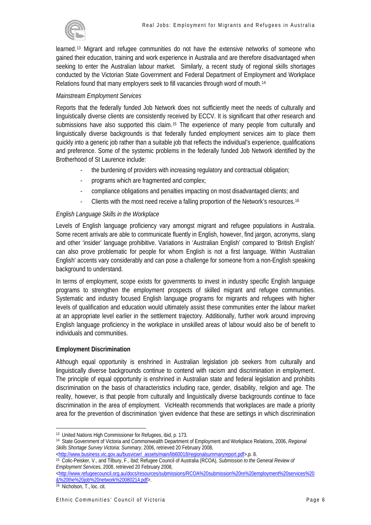

learned.[13](#page-6-0) Migrant and refugee communities do not have the extensive networks of someone who gained their education, training and work experience in Australia and are therefore disadvantaged when seeking to enter the Australian labour market. Similarly, a recent study of regional skills shortages conducted by the Victorian State Government and Federal Department of Employment and Workplace Relations found that many employers seek to fill vacancies through word of mouth.[14](#page-6-1)

# *Mainstream Employment Services*

Reports that the federally funded Job Network does not sufficiently meet the needs of culturally and linguistically diverse clients are consistently received by ECCV. It is significant that other research and submissions have also supported this claim.<sup>[15](#page-6-2)</sup> The experience of many people from culturally and linguistically diverse backgrounds is that federally funded employment services aim to place them quickly into a generic job rather than a suitable job that reflects the individual's experience, qualifications and preference. Some of the systemic problems in the federally funded Job Network identified by the Brotherhood of St Laurence include:

- the burdening of providers with increasing regulatory and contractual obligation;
- programs which are fragmented and complex;
- compliance obligations and penalties impacting on most disadvantaged clients; and
- Clients with the most need receive a falling proportion of the Network's resources.<sup>[16](#page-6-3)</sup>

# *English Language Skills in the Workplace*

Levels of English language proficiency vary amongst migrant and refugee populations in Australia. Some recent arrivals are able to communicate fluently in English, however, find jargon, acronyms, slang and other 'insider' language prohibitive. Variations in 'Australian English' compared to 'British English' can also prove problematic for people for whom English is not a first language. Within 'Australian English' accents vary considerably and can pose a challenge for someone from a non-English speaking background to understand.

In terms of employment, scope exists for governments to invest in industry specific English language programs to strengthen the employment prospects of skilled migrant and refugee communities. Systematic and industry focused English language programs for migrants and refugees with higher levels of qualification and education would ultimately assist these communities enter the labour market at an appropriate level earlier in the settlement trajectory. Additionally, further work around improving English language proficiency in the workplace in unskilled areas of labour would also be of benefit to individuals and communities.

## **Employment Discrimination**

Although equal opportunity is enshrined in Australian legislation job seekers from culturally and linguistically diverse backgrounds continue to contend with racism and discrimination in employment. The principle of equal opportunity is enshrined in Australian state and federal legislation and prohibits discrimination on the basis of characteristics including race, gender, disability, religion and age. The reality, however, is that people from culturally and linguistically diverse backgrounds continue to face discrimination in the area of employment. VicHealth recommends that workplaces are made a priority area for the prevention of discrimination 'given evidence that these are settings in which discrimination

[<http://www.refugeecouncil.org.au/docs/resources/submissions/RCOA%20submission%20re%20employment%20services%20](http://www.refugeecouncil.org.au/docs/resources/submissions/RCOA%20submission%20re%20employment%20services%20&%20the%20job%20network%20080214.pdf) [&%20the%20job%20network%20080214.pdf>](http://www.refugeecouncil.org.au/docs/resources/submissions/RCOA%20submission%20re%20employment%20services%20&%20the%20job%20network%20080214.pdf). [16 Nicholson, T., loc. cit.](http://www.refugeecouncil.org.au/docs/resources/submissions/RCOA%20submission%20re%20employment%20services%20&%20the%20job%20network%20080214.pdf) 

<span id="page-6-0"></span><sup>&</sup>lt;sup>13</sup> United Nations High Commissioner for Refugees, ibid, p. 173.

<span id="page-6-1"></span><sup>14</sup> State Government of Victoria and Commonwealth Department of Employment and Workplace Relations, 2006, *Regional Skills Shortage Survey Victoria: Summary*, 2006, retrieved 20 February 2008,

<span id="page-6-2"></span><sup>&</sup>lt;sup>15</sup> Colic-Peisker, V., and Tilbury, F., ibid; Refugee Council of Australia (RCOA), *Submission to the General Review of Employment Services,* 2008, retrieved 20 February 2008,

<span id="page-6-3"></span>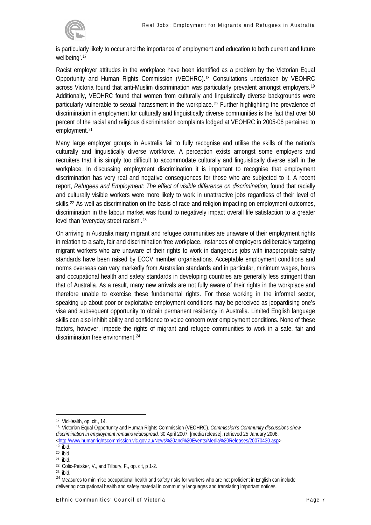

is particularly likely to occur and the importance of employment and education to both current and future wellbeing'.[17](#page-7-0)

Racist employer attitudes in the workplace have been identified as a problem by the Victorian Equal Opportunity and Human Rights Commission (VEOHRC).[18](#page-7-1) Consultations undertaken by VEOHRC across Victoria found that anti-Muslim discrimination was particularly prevalent amongst employers.[19](#page-7-2) Additionally, VEOHRC found that women from culturally and linguistically diverse backgrounds were particularly vulnerable to sexual harassment in the workplace.[20](#page-7-3) Further highlighting the prevalence of discrimination in employment for culturally and linguistically diverse communities is the fact that over 50 percent of the racial and religious discrimination complaints lodged at VEOHRC in 2005-06 pertained to employment.<sup>[21](#page-7-4)</sup>

Many large employer groups in Australia fail to fully recognise and utilise the skills of the nation's culturally and linguistically diverse workforce. A perception exists amongst some employers and recruiters that it is simply too difficult to accommodate culturally and linguistically diverse staff in the workplace. In discussing employment discrimination it is important to recognise that employment discrimination has very real and negative consequences for those who are subjected to it. A recent report, *Refugees and Employment: The effect of visible difference on discrimination*, found that racially and culturally visible workers were more likely to work in unattractive jobs regardless of their level of skills.<sup>[22](#page-7-5)</sup> As well as discrimination on the basis of race and religion impacting on employment outcomes, discrimination in the labour market was found to negatively impact overall life satisfaction to a greater level than 'everyday street racism'.[23](#page-7-6)

On arriving in Australia many migrant and refugee communities are unaware of their employment rights in relation to a safe, fair and discrimination free workplace. Instances of employers deliberately targeting migrant workers who are unaware of their rights to work in dangerous jobs with inappropriate safety standards have been raised by ECCV member organisations. Acceptable employment conditions and norms overseas can vary markedly from Australian standards and in particular, minimum wages, hours and occupational health and safety standards in developing countries are generally less stringent than that of Australia. As a result, many new arrivals are not fully aware of their rights in the workplace and therefore unable to exercise these fundamental rights. For those working in the informal sector, speaking up about poor or exploitative employment conditions may be perceived as jeopardising one's visa and subsequent opportunity to obtain permanent residency in Australia. Limited English language skills can also inhibit ability and confidence to voice concern over employment conditions. None of these factors, however, impede the rights of migrant and refugee communities to work in a safe, fair and discrimination free environment.[24](#page-7-7)

<span id="page-7-0"></span><sup>17</sup> VicHealth, op. cit., 14.

<span id="page-7-1"></span><sup>18</sup> Victorian Equal Opportunity and Human Rights Commission (VEOHRC), *Commission's Community discussions show discrimination in employment remains widespread,* 30 April 2007, [media release], retrieved 25 January 2008, <http://www.humanrightscommission.vic.gov.au/News%20and%20Events/Media%20Releases/20070430.asp>.

<span id="page-7-2"></span><sup>20</sup> ibid.

<span id="page-7-4"></span><span id="page-7-3"></span><sup>21</sup> ibid.

<sup>22</sup> Colic-Peisker, V., and Tilbury, F., op. cit, p 1-2.

<span id="page-7-6"></span><span id="page-7-5"></span><sup>23</sup> ibid.

<span id="page-7-7"></span><sup>&</sup>lt;sup>24</sup> Measures to minimise occupational health and safety risks for workers who are not proficient in English can include delivering occupational health and safety material in community languages and translating important notices.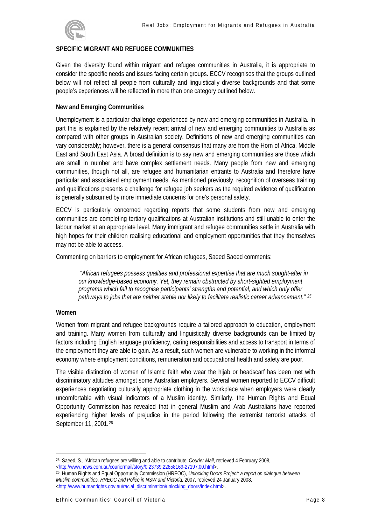

## **SPECIFIC MIGRANT AND REFUGEE COMMUNITIES**

Given the diversity found within migrant and refugee communities in Australia, it is appropriate to consider the specific needs and issues facing certain groups. ECCV recognises that the groups outlined below will not reflect all people from culturally and linguistically diverse backgrounds and that some people's experiences will be reflected in more than one category outlined below.

#### **New and Emerging Communities**

Unemployment is a particular challenge experienced by new and emerging communities in Australia. In part this is explained by the relatively recent arrival of new and emerging communities to Australia as compared with other groups in Australian society. Definitions of new and emerging communities can vary considerably; however, there is a general consensus that many are from the Horn of Africa, Middle East and South East Asia. A broad definition is to say new and emerging communities are those which are small in number and have complex settlement needs. Many people from new and emerging communities, though not all, are refugee and humanitarian entrants to Australia and therefore have particular and associated employment needs. As mentioned previously, recognition of overseas training and qualifications presents a challenge for refugee job seekers as the required evidence of qualification is generally subsumed by more immediate concerns for one's personal safety.

ECCV is particularly concerned regarding reports that some students from new and emerging communities are completing tertiary qualifications at Australian institutions and still unable to enter the labour market at an appropriate level. Many immigrant and refugee communities settle in Australia with high hopes for their children realising educational and employment opportunities that they themselves may not be able to access.

Commenting on barriers to employment for African refugees, Saeed Saeed comments:

 *"African refugees possess qualities and professional expertise that are much sought-after in our knowledge-based economy. Yet, they remain obstructed by short-sighted employment programs which fail to recognise participants' strengths and potential, and which only offer pathways to jobs that are neither stable nor likely to facilitate realistic career advancement." [25](#page-8-0)*

#### **Women**

Women from migrant and refugee backgrounds require a tailored approach to education, employment and training. Many women from culturally and linguistically diverse backgrounds can be limited by factors including English language proficiency, caring responsibilities and access to transport in terms of the employment they are able to gain. As a result, such women are vulnerable to working in the informal economy where employment conditions, remuneration and occupational health and safety are poor.

The visible distinction of women of Islamic faith who wear the hijab or headscarf has been met with discriminatory attitudes amongst some Australian employers. Several women reported to ECCV difficult experiences negotiating culturally appropriate clothing in the workplace when employers were clearly uncomfortable with visual indicators of a Muslim identity. Similarly, the Human Rights and Equal Opportunity Commission has revealed that in general Muslim and Arab Australians have reported experiencing higher levels of prejudice in the period following the extremist terrorist attacks of September 11, 2001.<sup>[26](#page-8-1)</sup>

 $\overline{a}$ 25 Saeed, S., 'African refugees are willing and able to contribute' *Courier Mail*, retrieved 4 February 2008,

<span id="page-8-1"></span><span id="page-8-0"></span><sup>&</sup>lt;http://www.news.com.au/couriermail/story/0,23739,22858169-27197,00.html>. 26 Human Rights and Equal Opportunity Commission (HREOC), *Unlocking Doors Project: a report on dialogue between Muslim communities, HREOC and Police in NSW and Victoria,* 2007, retrieved 24 January 2008, [<http://www.humanrights.gov.au/racial\\_discrimination/unlocking\\_doors/index.html>](http://www.humanrights.gov.au/racial_discrimination/unlocking_doors/index.html).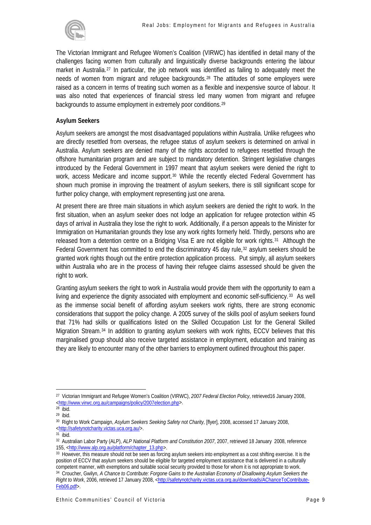

The Victorian Immigrant and Refugee Women's Coalition (VIRWC) has identified in detail many of the challenges facing women from culturally and linguistically diverse backgrounds entering the labour market in Australia.[27](#page-9-0) In particular, the job network was identified as failing to adequately meet the needs of women from migrant and refugee backgrounds.[28](#page-9-1) The attitudes of some employers were raised as a concern in terms of treating such women as a flexible and inexpensive source of labour. It was also noted that experiences of financial stress led many women from migrant and refugee backgrounds to assume employment in extremely poor conditions.29

## **Asylum Seekers**

Asylum seekers are amongst the most disadvantaged populations within Australia. Unlike refugees who are directly resettled from overseas, the refugee status of asylum seekers is determined on arrival in Australia. Asylum seekers are denied many of the rights accorded to refugees resettled through the offshore humanitarian program and are subject to mandatory detention. Stringent legislative changes introduced by the Federal Government in 1997 meant that asylum seekers were denied the right to work, access Medicare and income support.<sup>[30](#page-9-2)</sup> While the recently elected Federal Government has shown much promise in improving the treatment of asylum seekers, there is still significant scope for further policy change, with employment representing just one arena.

At present there are three main situations in which asylum seekers are denied the right to work. In the first situation, when an asylum seeker does not lodge an application for refugee protection within 45 days of arrival in Australia they lose the right to work. Additionally, if a person appeals to the Minister for Immigration on Humanitarian grounds they lose any work rights formerly held. Thirdly, persons who are released from a detention centre on a Bridging Visa E are not eligible for work rights.[31](#page-9-3) Although the Federal Government has committed to end the discriminatory 45 day rule,  $32$  asylum seekers should be granted work rights though out the entire protection application process. Put simply, all asylum seekers within Australia who are in the process of having their refugee claims assessed should be given the right to work.

Granting asylum seekers the right to work in Australia would provide them with the opportunity to earn a living and experience the dignity associated with employment and economic self-sufficiency.<sup>[33](#page-9-5)</sup> As well as the immense social benefit of affording asylum seekers work rights, there are strong economic considerations that support the policy change. A 2005 survey of the skills pool of asylum seekers found that 71% had skills or qualifications listed on the Skilled Occupation List for the General Skilled Migration Stream.[34](#page-9-6) In addition to granting asylum seekers with work rights, ECCV believes that this marginalised group should also receive targeted assistance in employment, education and training as they are likely to encounter many of the other barriers to employment outlined throughout this paper.

<span id="page-9-0"></span> $\overline{a}$ 27 Victorian Immigrant and Refugee Women's Coalition (VIRWC), *2007 Federal Election Policy*, retrieved16 January 2008, [<http://www.virwc.org.au/campaigns/policy/2007election.php](http://www.virwc.org.au/campaigns/policy/2007election.php)>.<br><sup>28</sup> ibid.

<span id="page-9-1"></span> $29$  ibid.

<span id="page-9-2"></span><sup>30</sup> Right to Work Campaign, *Asylum Seekers Seeking Safety not Charity,* [flyer], 2008, accessed 17 January 2008, [<http://safetynotcharity.victas.uca.org.au/](http://safetynotcharity.victas.uca.org.au/)>.

<span id="page-9-4"></span><span id="page-9-3"></span><sup>32</sup> Australian Labor Party (ALP), *ALP National Platform and Constitution 2007*, 2007, retrieved 18 January 2008, reference 155, <[http://www.alp.org.au/platform/chapter\\_13.php>](http://www.alp.org.au/platform/chapter_13.php).<br><sup>33</sup> However, this measure should not be seen as forcing asylum seekers into employment as a cost shifting exercise. It is the

<span id="page-9-6"></span><span id="page-9-5"></span>position of ECCV that asylum seekers should be eligible for targeted employment assistance that is delivered in a culturally competent manner, with exemptions and suitable social security provided to those for whom it is not appropriate to work. 34 Croucher, Gwilyn*, A Chance to Contribute: Forgone Gains to the Australian Economy of Disallowing Asylum Seekers the Right to Work*, 2006, retrieved 17 January 2008, [<http://safetynotcharity.victas.uca.org.au/downloads/AChanceToContribute-](http://safetynotcharity.victas.uca.org.au/downloads/AChanceToContribute-Feb06.pdf)[Feb06.pdf](http://safetynotcharity.victas.uca.org.au/downloads/AChanceToContribute-Feb06.pdf)>.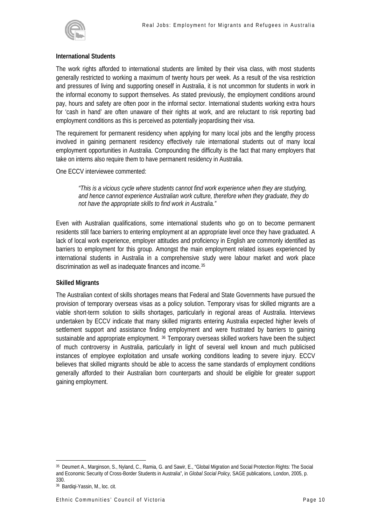

#### **International Students**

The work rights afforded to international students are limited by their visa class, with most students generally restricted to working a maximum of twenty hours per week. As a result of the visa restriction and pressures of living and supporting oneself in Australia, it is not uncommon for students in work in the informal economy to support themselves. As stated previously, the employment conditions around pay, hours and safety are often poor in the informal sector. International students working extra hours for 'cash in hand' are often unaware of their rights at work, and are reluctant to risk reporting bad employment conditions as this is perceived as potentially jeopardising their visa.

The requirement for permanent residency when applying for many local jobs and the lengthy process involved in gaining permanent residency effectively rule international students out of many local employment opportunities in Australia. Compounding the difficulty is the fact that many employers that take on interns also require them to have permanent residency in Australia.

One ECCV interviewee commented:

*"This is a vicious cycle where students cannot find work experience when they are studying, and hence cannot experience Australian work culture, therefore when they graduate, they do not have the appropriate skills to find work in Australia."* 

Even with Australian qualifications, some international students who go on to become permanent residents still face barriers to entering employment at an appropriate level once they have graduated. A lack of local work experience, employer attitudes and proficiency in English are commonly identified as barriers to employment for this group. Amongst the main employment related issues experienced by international students in Australia in a comprehensive study were labour market and work place discrimination as well as inadequate finances and income.[35](#page-10-0)

## **Skilled Migrants**

The Australian context of skills shortages means that Federal and State Governments have pursued the provision of temporary overseas visas as a policy solution. Temporary visas for skilled migrants are a viable short-term solution to skills shortages, particularly in regional areas of Australia. Interviews undertaken by ECCV indicate that many skilled migrants entering Australia expected higher levels of settlement support and assistance finding employment and were frustrated by barriers to gaining sustainable and appropriate employment. <sup>[36](#page-10-1)</sup> Temporary overseas skilled workers have been the subject of much controversy in Australia, particularly in light of several well known and much publicised instances of employee exploitation and unsafe working conditions leading to severe injury. ECCV believes that skilled migrants should be able to access the same standards of employment conditions generally afforded to their Australian born counterparts and should be eligible for greater support gaining employment.

<span id="page-10-0"></span> $\overline{a}$ 35 Deumert A., Marginson, S., Nyland, C., Ramia, G. and Sawir, E., "Global Migration and Social Protection Rights: The Social and Economic Security of Cross-Border Students in Australia", in *Global Social Policy,* SAGE publications, London, 2005, p. 330.

<span id="page-10-1"></span><sup>36</sup> Bardiqi-Yassin, M., loc. cit.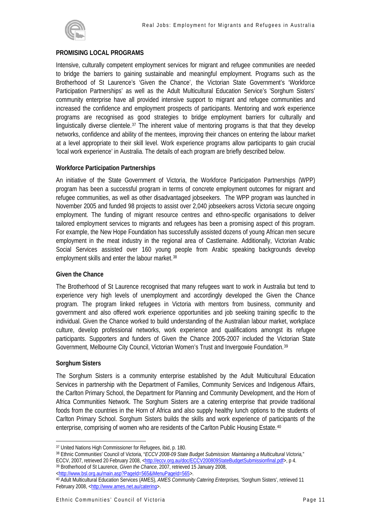

## **PROMISING LOCAL PROGRAMS**

Intensive, culturally competent employment services for migrant and refugee communities are needed to bridge the barriers to gaining sustainable and meaningful employment. Programs such as the Brotherhood of St Laurence's 'Given the Chance', the Victorian State Government's 'Workforce Participation Partnerships' as well as the Adult Multicultural Education Service's 'Sorghum Sisters' community enterprise have all provided intensive support to migrant and refugee communities and increased the confidence and employment prospects of participants. Mentoring and work experience programs are recognised as good strategies to bridge employment barriers for culturally and linguistically diverse clientele.[37](#page-11-0) The inherent value of mentoring programs is that that they develop networks, confidence and ability of the mentees, improving their chances on entering the labour market at a level appropriate to their skill level. Work experience programs allow participants to gain crucial 'local work experience' in Australia. The details of each program are briefly described below.

#### **Workforce Participation Partnerships**

An initiative of the State Government of Victoria, the Workforce Participation Partnerships (WPP) program has been a successful program in terms of concrete employment outcomes for migrant and refugee communities, as well as other disadvantaged jobseekers. The WPP program was launched in November 2005 and funded 98 projects to assist over 2,040 jobseekers across Victoria secure ongoing employment. The funding of migrant resource centres and ethno-specific organisations to deliver tailored employment services to migrants and refugees has been a promising aspect of this program. For example, the New Hope Foundation has successfully assisted dozens of young African men secure employment in the meat industry in the regional area of Castlemaine. Additionally, Victorian Arabic Social Services assisted over 160 young people from Arabic speaking backgrounds develop employment skills and enter the labour market.<sup>[38](#page-11-1)</sup>

#### **Given the Chance**

The Brotherhood of St Laurence recognised that many refugees want to work in Australia but tend to experience very high levels of unemployment and accordingly developed the Given the Chance program. The program linked refugees in Victoria with mentors from business, community and government and also offered work experience opportunities and job seeking training specific to the individual. Given the Chance worked to build understanding of the Australian labour market, workplace culture, develop professional networks, work experience and qualifications amongst its refugee participants. Supporters and funders of Given the Chance 2005-2007 included the Victorian State Government, Melbourne City Council, Victorian Women's Trust and Invergowie Foundation.[39](#page-11-2)

#### **Sorghum Sisters**

 $\overline{a}$ 

The Sorghum Sisters is a community enterprise established by the Adult Multicultural Education Services in partnership with the Department of Families, Community Services and Indigenous Affairs, the Carlton Primary School, the Department for Planning and Community Development, and the Horn of Africa Communities Network. The Sorghum Sisters are a catering enterprise that provide traditional foods from the countries in the Horn of Africa and also supply healthy lunch options to the students of Carlton Primary School. Sorghum Sisters builds the skills and work experience of participants of the enterprise, comprising of women who are residents of the Carlton Public Housing Estate.[40](#page-11-3)

<span id="page-11-0"></span><sup>37</sup> United Nations High Commissioner for Refugees, ibid, p. 180.

<span id="page-11-1"></span><sup>38</sup> Ethnic Communities' Council of Victoria, "*ECCV 2008-09 State Budget Submission: Maintaining a Multicultural Victoria,*" ECCV, 2007, retrieved 20 February 2008, [<http://eccv.org.au/doc/ECCV200809StateBudgetSubmissionfinal.pdf>](http://eccv.org.au/doc/ECCV200809StateBudgetSubmissionfinal.pdf), p 4.<br><sup>39</sup> Brotherhood of St Laurence, *Given the Chance*, 2007, retrieved 15 January 2008,<br><http://www.bsl.org.au/m

<span id="page-11-2"></span>

<span id="page-11-3"></span><sup>40</sup> Adult Multicultural Education Services (AMES), *AMES Community Catering Enterprises, 'Sorghum Sisters', retrieved 11* February 2008, [<http://www.ames.net.au/catering>](http://www.ames.net.au/catering).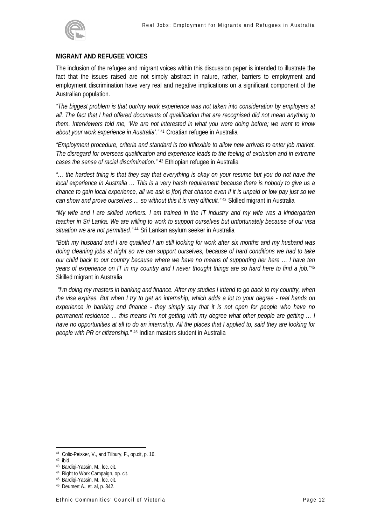

#### **MIGRANT AND REFUGEE VOICES**

The inclusion of the refugee and migrant voices within this discussion paper is intended to illustrate the fact that the issues raised are not simply abstract in nature, rather, barriers to employment and employment discrimination have very real and negative implications on a significant component of the Australian population.

*"The biggest problem is that our/my work experience was not taken into consideration by employers at all. The fact that I had offered documents of qualification that are recognised did not mean anything to them. Interviewers told me, 'We are not interested in what you were doing before; we want to know about your work experience in Australia'."* [41](#page-12-0) Croatian refugee in Australia

*"Employment procedure, criteria and standard is too inflexible to allow new arrivals to enter job market. The disregard for overseas qualification and experience leads to the feeling of exclusion and in extreme cases the sense of racial discrimination."* [42](#page-12-1) Ethiopian refugee in Australia

*"… the hardest thing is that they say that everything is okay on your resume but you do not have the local experience in Australia … This is a very harsh requirement because there is nobody to give us a chance to gain local experience, all we ask is [for] that chance even if it is unpaid or low pay just so we can show and prove ourselves … so without this it is very difficult."* [43](#page-12-2) Skilled migrant in Australia

*"My wife and I are skilled workers. I am trained in the IT industry and my wife was a kindergarten teacher in Sri Lanka. We are willing to work to support ourselves but unfortunately because of our visa situation we are not permitted."* [44](#page-12-3) Sri Lankan asylum seeker in Australia

*"Both my husband and I are qualified I am still looking for work after six months and my husband was doing cleaning jobs at night so we can support ourselves, because of hard conditions we had to take our child back to our country because where we have no means of supporting her here … I have ten years of experience on IT in my country and I never thought things are so hard here to find a job."*[45](#page-12-4) Skilled migrant in Australia

 *"I'm doing my masters in banking and finance. After my studies I intend to go back to my country, when the visa expires. But when I try to get an internship, which adds a lot to your degree - real hands on experience in banking and finance - they simply say that it is not open for people who have no permanent residence … this means I'm not getting with my degree what other people are getting … I have no opportunities at all to do an internship. All the places that I applied to, said they are looking for people with PR or citizenship."* [46](#page-12-5) Indian masters student in Australia

<span id="page-12-0"></span><sup>41</sup> Colic-Peisker, V., and Tilbury, F., op.cit, p. 16.

<span id="page-12-1"></span><sup>42</sup> ibid.

<span id="page-12-2"></span><sup>43</sup> Bardiqi-Yassin, M., loc. cit.

<span id="page-12-3"></span><sup>44</sup> Right to Work Campaign, op. cit.

<sup>45</sup> Bardiqi-Yassin, M., loc. cit.

<span id="page-12-5"></span><span id="page-12-4"></span><sup>46</sup> Deumert A., et. al, p. 342.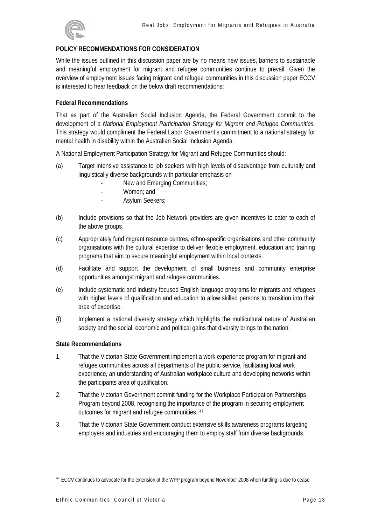

# **POLICY RECOMMENDATIONS FOR CONSIDERATION**

While the issues outlined in this discussion paper are by no means new issues, barriers to sustainable and meaningful employment for migrant and refugee communities continue to prevail. Given the overview of employment issues facing migrant and refugee communities in this discussion paper ECCV is interested to hear feedback on the below draft recommendations:

## **Federal Recommendations**

That as part of the Australian Social Inclusion Agenda, the Federal Government commit to the development of a *National Employment Participation Strategy for Migrant and Refugee Communities.* This strategy would compliment the Federal Labor Government's commitment to a national strategy for mental health in disability within the Australian Social Inclusion Agenda.

A National Employment Participation Strategy for Migrant and Refugee Communities should:

- (a) Target intensive assistance to job seekers with high levels of disadvantage from culturally and linguistically diverse backgrounds with particular emphasis on
	- New and Emerging Communities;
	- Women; and
	- Asylum Seekers;
- (b) Include provisions so that the Job Network providers are given incentives to cater to each of the above groups.
- (c) Appropriately fund migrant resource centres, ethno-specific organisations and other community organisations with the cultural expertise to deliver flexible employment, education and training programs that aim to secure meaningful employment within local contexts.
- (d) Facilitate and support the development of small business and community enterprise opportunities amongst migrant and refugee communities.
- (e) Include systematic and industry focused English language programs for migrants and refugees with higher levels of qualification and education to allow skilled persons to transition into their area of expertise.
- (f) Implement a national diversity strategy which highlights the multicultural nature of Australian society and the social, economic and political gains that diversity brings to the nation.

## **State Recommendations**

- 1. That the Victorian State Government implement a work experience program for migrant and refugee communities across all departments of the public service, facilitating local work experience, an understanding of Australian workplace culture and developing networks within the participants area of qualification.
- 2. That the Victorian Government commit funding for the Workplace Participation Partnerships Program beyond 2008, recognising the importance of the program in securing employment outcomes for migrant and refugee communities. [47](#page-13-0)
- 3. That the Victorian State Government conduct extensive skills awareness programs targeting employers and industries and encouraging them to employ staff from diverse backgrounds.

<span id="page-13-0"></span> $\overline{a}$  $^{47}$  ECCV continues to advocate for the extension of the WPP program beyond November 2008 when funding is due to cease.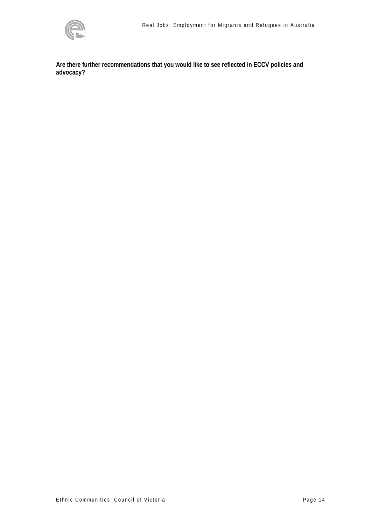

**Are there further recommendations that you would like to see reflected in ECCV policies and advocacy?**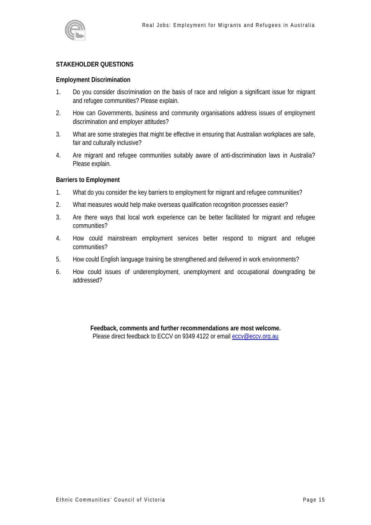

## **STAKEHOLDER QUESTIONS**

#### **Employment Discrimination**

- 1. Do you consider discrimination on the basis of race and religion a significant issue for migrant and refugee communities? Please explain.
- 2. How can Governments, business and community organisations address issues of employment discrimination and employer attitudes?
- 3. What are some strategies that might be effective in ensuring that Australian workplaces are safe, fair and culturally inclusive?
- 4. Are migrant and refugee communities suitably aware of anti-discrimination laws in Australia? Please explain.

#### **Barriers to Employment**

- 1. What do you consider the key barriers to employment for migrant and refugee communities?
- 2. What measures would help make overseas qualification recognition processes easier?
- 3. Are there ways that local work experience can be better facilitated for migrant and refugee communities?
- 4. How could mainstream employment services better respond to migrant and refugee communities?
- 5. How could English language training be strengthened and delivered in work environments?
- 6. How could issues of underemployment, unemployment and occupational downgrading be addressed?

**Feedback, comments and further recommendations are most welcome.** Please direct feedback to ECCV on 9349 4122 or email [eccv@eccv.org.au](mailto:eccv@eccv.org.au)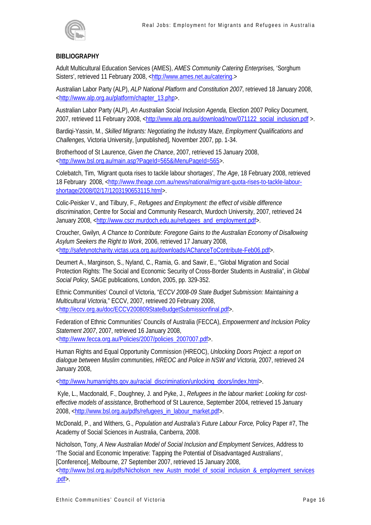

# **BIBLIOGRAPHY**

Adult Multicultural Education Services (AMES), *AMES Community Catering Enterprises,* 'Sorghum Sisters', retrieved 11 February 2008, <<http://www.ames.net.au/catering>.>

Australian Labor Party (ALP), *ALP National Platform and Constitution 2007*, retrieved 18 January 2008, [<http://www.alp.org.au/platform/chapter\\_13.php](http://www.alp.org.au/platform/chapter_13.php)>.

Australian Labor Party (ALP), *An Australian Social Inclusion Agenda,* Election 2007 Policy Document, 2007, retrieved 11 February 2008, [<http://www.alp.org.au/download/now/071122\\_social\\_inclusion.pdf](http://www.alp.org.au/download/now/071122_social_inclusion.pdf) >.

Bardiqi-Yassin, M., *Skilled Migrants: Negotiating the Industry Maze, Employment Qualifications and Challenges,* Victoria University, [unpublished], November 2007, pp. 1-34.

Brotherhood of St Laurence, *Given the Chance*, 2007, retrieved 15 January 2008, <http://www.bsl.org.au/main.asp?PageId=565&iMenuPageId=565>.

Colebatch, Tim, 'Migrant quota rises to tackle labour shortages', *The Age*, 18 February 2008, retrieved 18 February 2008, <http://www.theage.com.au/news/national/migrant-quota-rises-to-tackle-labourshortage/2008/02/17/1203190653115.html>.

Colic-Peisker V., and Tilbury, F., *Refugees and Employment: the effect of visible difference discrimination*, Centre for Social and Community Research, Murdoch University, 2007, retrieved 24 January 2008, <[http://www.cscr.murdoch.edu.au/refugees\\_and\\_employment.pdf](http://www.cscr.murdoch.edu.au/refugees_and_employment.pdf)>.

Croucher, Gwilyn*, A Chance to Contribute: Foregone Gains to the Australian Economy of Disallowing Asylum Seekers the Right to Work*, 2006, retrieved 17 January 2008, [<http://safetynotcharity.victas.uca.org.au/downloads/AChanceToContribute-Feb06.pdf>](http://safetynotcharity.victas.uca.org.au/downloads/AChanceToContribute-Feb06.pdf).

Deumert A., Marginson, S., Nyland, C., Ramia, G. and Sawir, E., "Global Migration and Social Protection Rights: The Social and Economic Security of Cross-Border Students in Australia", in *Global Social Policy,* SAGE publications, London, 2005, pp. 329-352.

Ethnic Communities' Council of Victoria, "*ECCV 2008-09 State Budget Submission: Maintaining a Multicultural Victoria,*" ECCV, 2007, retrieved 20 February 2008, [<http://eccv.org.au/doc/ECCV200809StateBudgetSubmissionfinal.pdf>](http://eccv.org.au/doc/ECCV200809StateBudgetSubmissionfinal.pdf).

Federation of Ethnic Communities' Councils of Australia (FECCA), *Empowerment and Inclusion Policy Statement 2007*, 2007, retrieved 16 January 2008, [<http://www.fecca.org.au/Policies/2007/policies\\_2007007.pdf](http://www.fecca.org.au/Policies/2007/policies_2007007.pdf)>.

Human Rights and Equal Opportunity Commission (HREOC), *Unlocking Doors Project: a report on dialogue between Muslim communities, HREOC and Police in NSW and Victoria,* 2007, retrieved 24 January 2008,

[<http://www.humanrights.gov.au/racial\\_discrimination/unlocking\\_doors/index.html](http://www.humanrights.gov.au/racial_discrimination/unlocking_doors/index.html)>.

 Kyle, L., Macdonald, F., Doughney, J. and Pyke, J., *Refugees in the labour market: Looking for costeffective models of assistance*, Brotherhood of St Laurence, September 2004, retrieved 15 January 2008, [<http://www.bsl.org.au/pdfs/refugees\\_in\\_labour\\_market.pdf](http://www.bsl.org.au/pdfs/refugees_in_labour_market.pdf)>.

McDonald, P., and Withers, G., *Population and Australia's Future Labour Force,* Policy Paper #7, The Academy of Social Sciences in Australia, Canberra, 2008.

Nicholson, Tony, *A New Australian Model of Social Inclusion and Employment Services*, Address to 'The Social and Economic Imperative: Tapping the Potential of Disadvantaged Australians', [Conference], Melbourne, 27 September 2007, retrieved 15 January 2008, [<http://www.bsl.org.au/pdfs/Nicholson\\_new\\_Austn\\_model\\_of\\_social\\_inclusion\\_&\\_employment\\_services](http://www.bsl.org.au/pdfs/Nicholson_new_Austn_model_of_social_inclusion_&_employment_services.pdf) [.pdf>](http://www.bsl.org.au/pdfs/Nicholson_new_Austn_model_of_social_inclusion_&_employment_services.pdf).